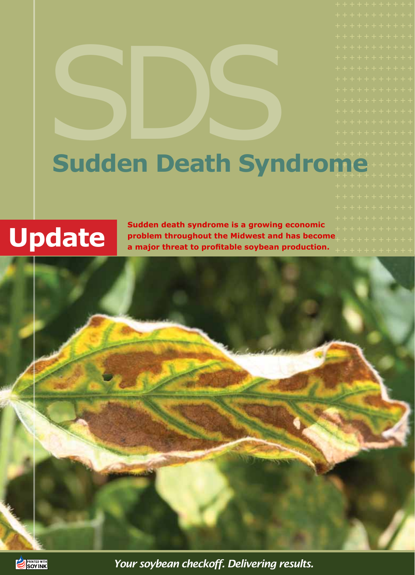### Sudden Death Syn + + + + + + + + + + + + + + + + + + + + + + Sudden Death Syndrome

**Sudden death syndrome is a growing economic problem throughout the Midwest and has become a major threat to profitable soybean production.** 





*Your soybean checkoff. Delivering results.*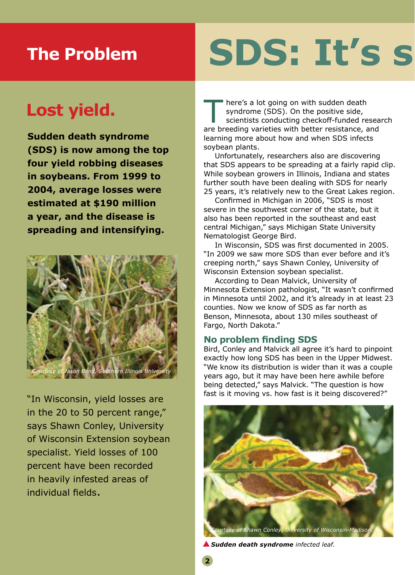### **The Problem**

# **SDS: It's s**

### **Lost yield.**

**Sudden death syndrome (SDS) is now among the top four yield robbing diseases in soybeans. From 1999 to 2004, average losses were estimated at \$190 million a year, and the disease is spreading and intensifying.**



"In Wisconsin, yield losses are in the 20 to 50 percent range," says Shawn Conley, University of Wisconsin Extension soybean specialist. Yield losses of 100 percent have been recorded in heavily infested areas of individual fields.

here's a lot going on with sudden death<br>syndrome (SDS). On the positive side,<br>scientists conducting checkoff-funded resea<br>are breeding varieties with better resistance, and here's a lot going on with sudden death syndrome (SDS). On the positive side, scientists conducting checkoff-funded research learning more about how and when SDS infects soybean plants.

Unfortunately, researchers also are discovering that SDS appears to be spreading at a fairly rapid clip. While soybean growers in Illinois, Indiana and states further south have been dealing with SDS for nearly 25 years, it's relatively new to the Great Lakes region.

Confirmed in Michigan in 2006, "SDS is most severe in the southwest corner of the state, but it also has been reported in the southeast and east central Michigan," says Michigan State University Nematologist George Bird.

In Wisconsin, SDS was first documented in 2005. "In 2009 we saw more SDS than ever before and it's creeping north," says Shawn Conley, University of Wisconsin Extension soybean specialist.

According to Dean Malvick, University of Minnesota Extension pathologist, "It wasn't confirmed in Minnesota until 2002, and it's already in at least 23 counties. Now we know of SDS as far north as Benson, Minnesota, about 130 miles southeast of Fargo, North Dakota."

#### **No problem finding SDS**

Bird, Conley and Malvick all agree it's hard to pinpoint exactly how long SDS has been in the Upper Midwest. "We know its distribution is wider than it was a couple years ago, but it may have been here awhile before being detected," says Malvick. "The question is how fast is it moving vs. how fast is it being discovered?"



*Sudden death syndrome infected leaf.*

**2**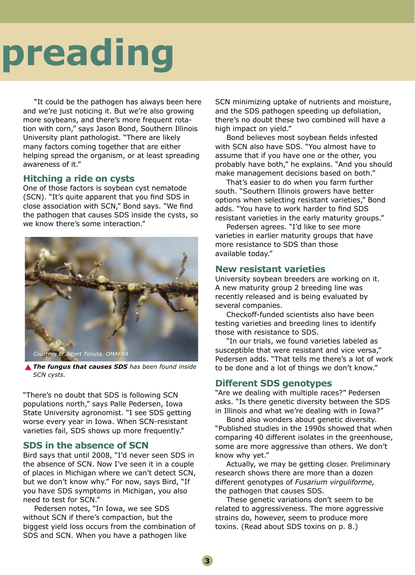## **preading**

"It could be the pathogen has always been here and we're just noticing it. But we're also growing more soybeans, and there's more frequent rotation with corn," says Jason Bond, Southern Illinois University plant pathologist. "There are likely many factors coming together that are either helping spread the organism, or at least spreading awareness of it."

### **Hitching a ride on cysts**

One of those factors is soybean cyst nematode (SCN). "It's quite apparent that you find SDS in close association with SCN," Bond says. "We find the pathogen that causes SDS inside the cysts, so we know there's some interaction."



*The fungus that causes SDS has been found inside SCN cysts.*

"There's no doubt that SDS is following SCN populations north," says Palle Pedersen, Iowa State University agronomist. "I see SDS getting worse every year in Iowa. When SCN-resistant varieties fail, SDS shows up more frequently."

### **SDS in the absence of SCN**

Bird says that until 2008, "I'd never seen SDS in the absence of SCN. Now I've seen it in a couple of places in Michigan where we can't detect SCN, but we don't know why." For now, says Bird, "If you have SDS symptoms in Michigan, you also need to test for SCN."

Pedersen notes, "In Iowa, we see SDS without SCN if there's compaction, but the biggest yield loss occurs from the combination of SDS and SCN. When you have a pathogen like

SCN minimizing uptake of nutrients and moisture, and the SDS pathogen speeding up defoliation, there's no doubt these two combined will have a high impact on yield."

Bond believes most soybean fields infested with SCN also have SDS. "You almost have to assume that if you have one or the other, you probably have both," he explains. "And you should make management decisions based on both."

That's easier to do when you farm further south. "Southern Illinois growers have better options when selecting resistant varieties," Bond adds. "You have to work harder to find SDS resistant varieties in the early maturity groups."

Pedersen agrees. "I'd like to see more varieties in earlier maturity groups that have more resistance to SDS than those available today."

### **New resistant varieties**

University soybean breeders are working on it. A new maturity group 2 breeding line was recently released and is being evaluated by several companies.

Checkoff-funded scientists also have been testing varieties and breeding lines to identify those with resistance to SDS.

"In our trials, we found varieties labeled as susceptible that were resistant and vice versa," Pedersen adds. "That tells me there's a lot of work to be done and a lot of things we don't know."

### **Different SDS genotypes**

"Are we dealing with multiple races?" Pedersen asks. "Is there genetic diversity between the SDS in Illinois and what we're dealing with in Iowa?"

Bond also wonders about genetic diversity. "Published studies in the 1990s showed that when comparing 40 different isolates in the greenhouse, some are more aggressive than others. We don't know why yet."

Actually, we may be getting closer. Preliminary research shows there are more than a dozen different genotypes of *Fusarium virguliforme,* the pathogen that causes SDS.

These genetic variations don't seem to be related to aggressiveness. The more aggressive strains do, however, seem to produce more toxins. (Read about SDS toxins on p. 8.)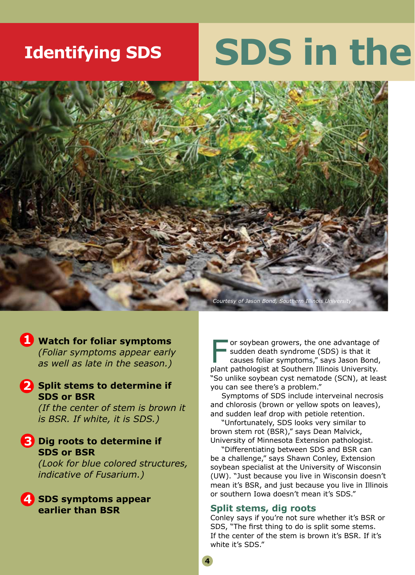### **Identifying SDS**

## **SDS in the**



### **Watch for foliar symptoms 1**

*(Foliar symptoms appear early as well as late in the season.)* 

### 2 Split stems to determine if **SDS or BSR**

*(If the center of stem is brown it is BSR. If white, it is SDS.)* 

### **3** Dig roots to determine if **SDS or BSR**

*(Look for blue colored structures, indicative of Fusarium.)* 

**4** SDS symptoms appear **earlier than BSR**

F or soybean growers, the one advantage of<br>
sudden death syndrome (SDS) is that it<br>
causes foliar symptoms," says Jason Bond,<br>
plant pathologist at Southern Illinois University sudden death syndrome (SDS) is that it plant pathologist at Southern Illinois University. "So unlike soybean cyst nematode (SCN), at least you can see there's a problem."

Symptoms of SDS include interveinal necrosis and chlorosis (brown or yellow spots on leaves), and sudden leaf drop with petiole retention.

"Unfortunately, SDS looks very similar to brown stem rot (BSR)," says Dean Malvick, University of Minnesota Extension pathologist.

"Differentiating between SDS and BSR can be a challenge," says Shawn Conley, Extension soybean specialist at the University of Wisconsin (UW). "Just because you live in Wisconsin doesn't mean it's BSR, and just because you live in Illinois or southern Iowa doesn't mean it's SDS."

#### **Split stems, dig roots**

Conley says if you're not sure whether it's BSR or SDS, "The first thing to do is split some stems. If the center of the stem is brown it's BSR. If it's white it's SDS."

**4**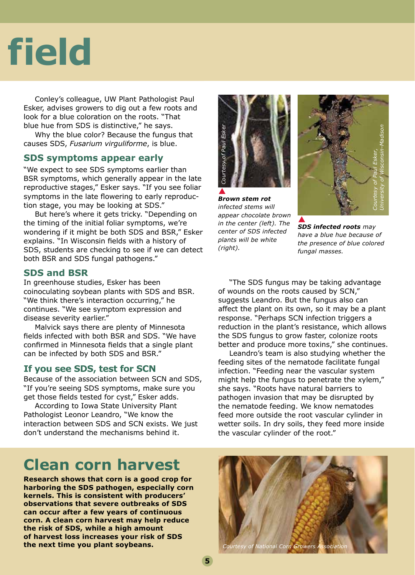## **field**

Conley's colleague, UW Plant Pathologist Paul Esker, advises growers to dig out a few roots and look for a blue coloration on the roots. "That blue hue from SDS is distinctive," he says.

Why the blue color? Because the fungus that causes SDS, *Fusarium virguliforme*, is blue.

### **SDS symptoms appear early**

"We expect to see SDS symptoms earlier than BSR symptoms, which generally appear in the late reproductive stages," Esker says. "If you see foliar symptoms in the late flowering to early reproduction stage, you may be looking at SDS."

But here's where it gets tricky. "Depending on the timing of the initial foliar symptoms, we're wondering if it might be both SDS and BSR," Esker explains. "In Wisconsin fields with a history of SDS, students are checking to see if we can detect both BSR and SDS fungal pathogens."

#### **SDS and BSR**

In greenhouse studies, Esker has been coinoculating soybean plants with SDS and BSR. "We think there's interaction occurring," he continues. "We see symptom expression and disease severity earlier."

Malvick says there are plenty of Minnesota fields infected with both BSR and SDS. "We have confirmed in Minnesota fields that a single plant can be infected by both SDS and BSR."

### **If you see SDS, test for SCN**

Because of the association between SCN and SDS, "If you're seeing SDS symptoms, make sure you get those fields tested for cyst," Esker adds.

According to Iowa State University Plant Pathologist Leonor Leandro, "We know the interaction between SDS and SCN exists. We just don't understand the mechanisms behind it.

### *Courtesy of Paul Esker*  Paul Eske tesy of

*Brown stem rot infected stems will appear chocolate brown in the center (left). The center of SDS infected plants will be white (right).*



*SDS infected roots may have a blue hue because of the presence of blue colored fungal masses.*

"The SDS fungus may be taking advantage of wounds on the roots caused by SCN," suggests Leandro. But the fungus also can affect the plant on its own, so it may be a plant response. "Perhaps SCN infection triggers a reduction in the plant's resistance, which allows the SDS fungus to grow faster, colonize roots better and produce more toxins," she continues.

Leandro's team is also studying whether the feeding sites of the nematode facilitate fungal infection. "Feeding near the vascular system might help the fungus to penetrate the xylem," she says. "Roots have natural barriers to pathogen invasion that may be disrupted by the nematode feeding. We know nematodes feed more outside the root vascular cylinder in wetter soils. In dry soils, they feed more inside the vascular cylinder of the root."

### **Clean corn harvest**

**Research shows that corn is a good crop for harboring the SDS pathogen, especially corn kernels. This is consistent with producers' observations that severe outbreaks of SDS can occur after a few years of continuous corn. A clean corn harvest may help reduce the risk of SDS, while a high amount of harvest loss increases your risk of SDS the next time you plant soybeans.**

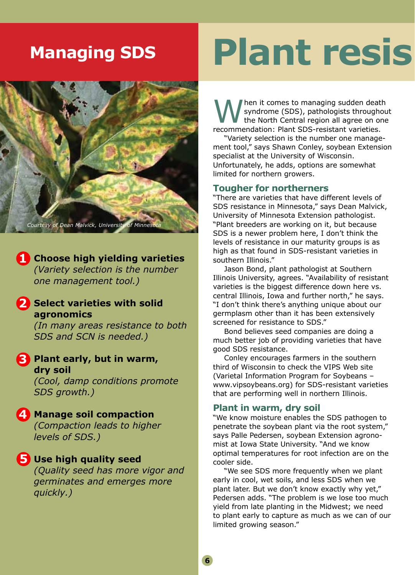### **Managing SDS**



**1** Choose high yielding varieties *(Variety selection is the number one management tool.)*

#### **Select varieties with solid agronomics 2**

*(In many areas resistance to both SDS and SCN is needed.)* 

**Plant early, but in warm, 3 dry soil**

*(Cool, damp conditions promote SDS growth.)* 

### **4** Manage soil compaction

*(Compaction leads to higher levels of SDS.)* 

### **Use high quality seed 5**

*(Quality seed has more vigor and germinates and emerges more quickly.)*

## **Plant resist**

When it comes to managing sudden death<br>the North Central region all agree on one<br>recommendation: Plant SDS-resistant varieties syndrome (SDS), pathologists throughout the North Central region all agree on one recommendation: Plant SDS-resistant varieties.

"Variety selection is the number one management tool," says Shawn Conley, soybean Extension specialist at the University of Wisconsin. Unfortunately, he adds, options are somewhat limited for northern growers.

#### **Tougher for northerners**

"There are varieties that have different levels of SDS resistance in Minnesota," says Dean Malvick, University of Minnesota Extension pathologist. "Plant breeders are working on it, but because SDS is a newer problem here, I don't think the levels of resistance in our maturity groups is as high as that found in SDS-resistant varieties in southern Illinois."

Jason Bond, plant pathologist at Southern Illinois University, agrees. "Availability of resistant varieties is the biggest difference down here vs. central Illinois, Iowa and further north," he says. "I don't think there's anything unique about our germplasm other than it has been extensively screened for resistance to SDS."

Bond believes seed companies are doing a much better job of providing varieties that have good SDS resistance.

Conley encourages farmers in the southern third of Wisconsin to check the VIPS Web site (Varietal Information Program for Soybeans – www.vipsoybeans.org) for SDS-resistant varieties that are performing well in northern Illinois.

### **Plant in warm, dry soil**

"We know moisture enables the SDS pathogen to penetrate the soybean plant via the root system," says Palle Pedersen, soybean Extension agronomist at Iowa State University. "And we know optimal temperatures for root infection are on the cooler side.

"We see SDS more frequently when we plant early in cool, wet soils, and less SDS when we plant later. But we don't know exactly why yet," Pedersen adds. "The problem is we lose too much yield from late planting in the Midwest; we need to plant early to capture as much as we can of our limited growing season."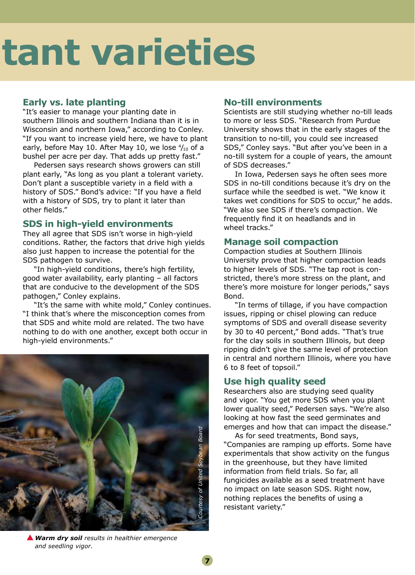# **Plant resistant varieties**

### **Early vs. late planting**

"It's easier to manage your planting date in southern Illinois and southern Indiana than it is in Wisconsin and northern Iowa," according to Conley. "If you want to increase yield here, we have to plant early, before May 10. After May 10, we lose  $\frac{4}{10}$  of a bushel per acre per day. That adds up pretty fast."

Pedersen says research shows growers can still plant early, "As long as you plant a tolerant variety. Don't plant a susceptible variety in a field with a history of SDS." Bond's advice: "If you have a field with a history of SDS, try to plant it later than other fields."

### **SDS in high-yield environments**

They all agree that SDS isn't worse in high-yield conditions. Rather, the factors that drive high yields also just happen to increase the potential for the SDS pathogen to survive.

"In high-yield conditions, there's high fertility, good water availability, early planting – all factors that are conducive to the development of the SDS pathogen," Conley explains.

"It's the same with white mold," Conley continues. "I think that's where the misconception comes from that SDS and white mold are related. The two have nothing to do with one another, except both occur in high-yield environments."



### **No-till environments**

Scientists are still studying whether no-till leads to more or less SDS. "Research from Purdue University shows that in the early stages of the transition to no-till, you could see increased SDS," Conley says. "But after you've been in a no-till system for a couple of years, the amount of SDS decreases."

In Iowa, Pedersen says he often sees more SDS in no-till conditions because it's dry on the surface while the seedbed is wet. "We know it takes wet conditions for SDS to occur," he adds. "We also see SDS if there's compaction. We frequently find it on headlands and in wheel tracks."

### **Manage soil compaction**

Compaction studies at Southern Illinois University prove that higher compaction leads to higher levels of SDS. "The tap root is constricted, there's more stress on the plant, and there's more moisture for longer periods," says Bond.

"In terms of tillage, if you have compaction issues, ripping or chisel plowing can reduce symptoms of SDS and overall disease severity by 30 to 40 percent," Bond adds. "That's true for the clay soils in southern Illinois, but deep ripping didn't give the same level of protection in central and northern Illinois, where you have 6 to 8 feet of topsoil."

### **Use high quality seed**

Researchers also are studying seed quality and vigor. "You get more SDS when you plant lower quality seed," Pedersen says. "We're also looking at how fast the seed germinates and emerges and how that can impact the disease."

As for seed treatments, Bond says, "Companies are ramping up efforts. Some have experimentals that show activity on the fungus in the greenhouse, but they have limited information from field trials. So far, all fungicides available as a seed treatment have no impact on late season SDS. Right now, nothing replaces the benefits of using a resistant variety."

*Warm dry soil results in healthier emergence and seedling vigor.*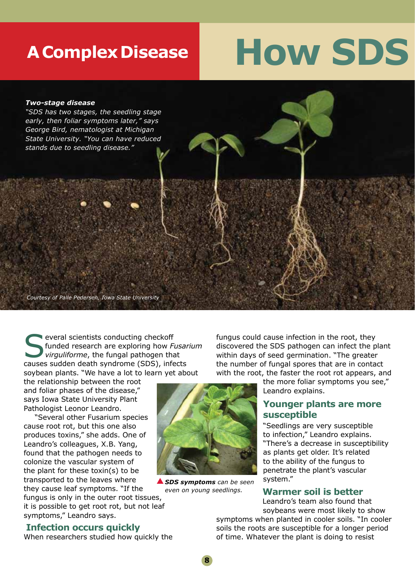### **A Complex Disease**

### **How SDS**

#### *Two-stage disease*

*"SDS has two stages, the seedling stage early, then foliar symptoms later," says George Bird, nematologist at Michigan State University. "You can have reduced stands due to seedling disease."*

*Courtesy of Palle Pedersen, Iowa State University*

**Several scientists conducting checkoff**<br> **Sexual pathogen that**<br> **Sexual pathogen that**<br> **Sexual pathogen that**<br> **Sexual pathogen that**<br> **Sexual pathogen that**<br> **Sexual pathogen that** funded research are exploring how *Fusarium*  causes sudden death syndrome (SDS), infects soybean plants. "We have a lot to learn yet about

the relationship between the root and foliar phases of the disease," says Iowa State University Plant Pathologist Leonor Leandro.

"Several other Fusarium species cause root rot, but this one also produces toxins," she adds. One of Leandro's colleagues, X.B. Yang, found that the pathogen needs to colonize the vascular system of the plant for these toxin(s) to be transported to the leaves where they cause leaf symptoms. "If the

fungus is only in the outer root tissues, it is possible to get root rot, but not leaf symptoms," Leandro says.

### **Infection occurs quickly**

When researchers studied how quickly the

*SDS symptoms can be seen even on young seedlings.*

fungus could cause infection in the root, they discovered the SDS pathogen can infect the plant within days of seed germination. "The greater the number of fungal spores that are in contact with the root, the faster the root rot appears, and

the more foliar symptoms you see," Leandro explains.

### **Younger plants are more susceptible**

"Seedlings are very susceptible to infection," Leandro explains. "There's a decrease in susceptibility as plants get older. It's related to the ability of the fungus to penetrate the plant's vascular system."

#### **Warmer soil is better**

 Leandro's team also found that soybeans were most likely to show

symptoms when planted in cooler soils. "In cooler soils the roots are susceptible for a longer period of time. Whatever the plant is doing to resist

**8**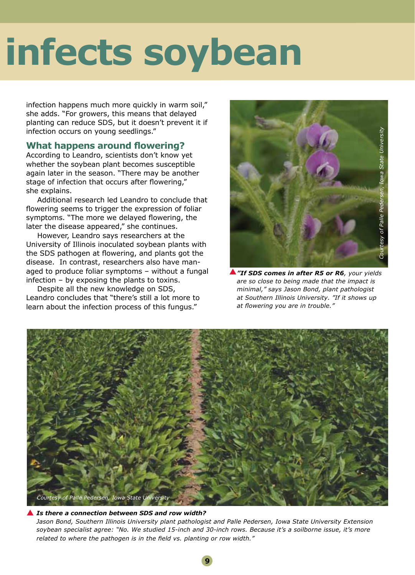## infects soybean

infection happens much more quickly in warm soil," she adds. "For growers, this means that delayed planting can reduce SDS, but it doesn't prevent it if infection occurs on young seedlings."

### **What happens around flowering?**

According to Leandro, scientists don't know yet whether the soybean plant becomes susceptible again later in the season. "There may be another stage of infection that occurs after flowering," she explains.

Additional research led Leandro to conclude that flowering seems to trigger the expression of foliar symptoms. "The more we delayed flowering, the later the disease appeared," she continues.

However, Leandro says researchers at the University of Illinois inoculated soybean plants with the SDS pathogen at flowering, and plants got the disease. In contrast, researchers also have managed to produce foliar symptoms – without a fungal infection – by exposing the plants to toxins.

Despite all the new knowledge on SDS, Leandro concludes that "there's still a lot more to learn about the infection process of this fungus."



*"If SDS comes in after R5 or R6, your yields are so close to being made that the impact is minimal," says Jason Bond, plant pathologist at Southern Illinois University. "If it shows up at flowering you are in trouble."*



#### *Is there a connection between SDS and row width?*

*Jason Bond, Southern Illinois University plant pathologist and Palle Pedersen, Iowa State University Extension soybean specialist agree: "No. We studied 15-inch and 30-inch rows. Because it's a soilborne issue, it's more related to where the pathogen is in the field vs. planting or row width."*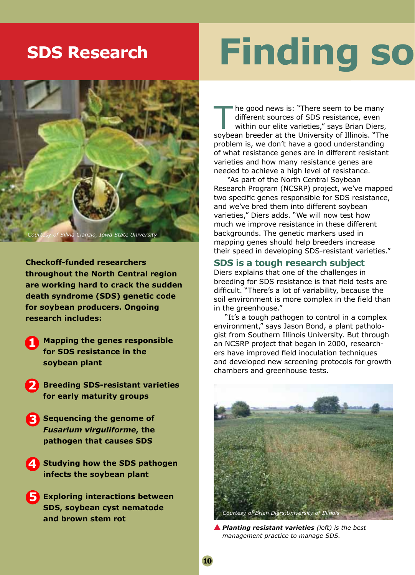### **SDS Research**



of Silvia Cianzio, Iowa State University

**Checkoff-funded researchers throughout the North Central region are working hard to crack the sudden death syndrome (SDS) genetic code for soybean producers. Ongoing research includes:**

- **Mapping the genes responsible for SDS resistance in the soybean plant 1**
- **Breeding SDS-resistant varieties for early maturity groups 2**
- **8** Sequencing the genome of *Fusarium virguliforme***, the pathogen that causes SDS**
- **4** Studying how the SDS pathogen **infects the soybean plant**
- **5** Exploring interactions between **SDS, soybean cyst nematode and brown stem rot**

## **Finding so**

The good news is: "There seem to be many<br>different sources of SDS resistance, even<br>within our elite varieties," says Brian Diers,<br>soybean breeder at the University of Illinois. "The different sources of SDS resistance, even soybean breeder at the University of Illinois. "The problem is, we don't have a good understanding of what resistance genes are in different resistant varieties and how many resistance genes are needed to achieve a high level of resistance.

 "As part of the North Central Soybean Research Program (NCSRP) project, we've mapped two specific genes responsible for SDS resistance, and we've bred them into different soybean varieties," Diers adds. "We will now test how much we improve resistance in these different backgrounds. The genetic markers used in mapping genes should help breeders increase their speed in developing SDS-resistant varieties."

#### **SDS is a tough research subject**

Diers explains that one of the challenges in breeding for SDS resistance is that field tests are difficult. "There's a lot of variability, because the soil environment is more complex in the field than in the greenhouse."

"It's a tough pathogen to control in a complex environment," says Jason Bond, a plant pathologist from Southern Illinois University. But through an NCSRP project that began in 2000, researchers have improved field inoculation techniques and developed new screening protocols for growth chambers and greenhouse tests.



*Planting resistant varieties (left) is the best management practice to manage SDS.*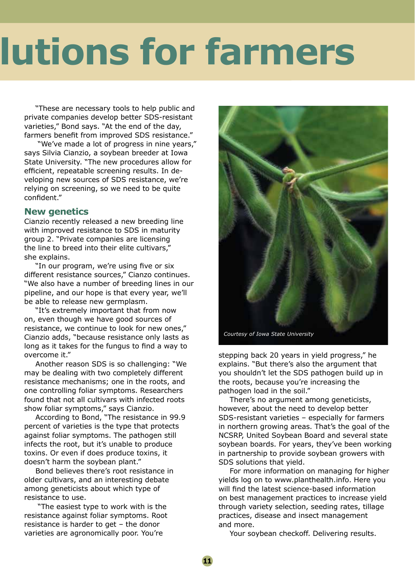# *<u>Iutions for farmers</u>*

"These are necessary tools to help public and private companies develop better SDS-resistant varieties," Bond says. "At the end of the day, farmers benefit from improved SDS resistance."

 "We've made a lot of progress in nine years," says Silvia Cianzio, a soybean breeder at Iowa State University. "The new procedures allow for efficient, repeatable screening results. In developing new sources of SDS resistance, we're relying on screening, so we need to be quite confident."

### **New genetics**

Cianzio recently released a new breeding line with improved resistance to SDS in maturity group 2. "Private companies are licensing the line to breed into their elite cultivars," she explains.

"In our program, we're using five or six different resistance sources," Cianzo continues. "We also have a number of breeding lines in our pipeline, and our hope is that every year, we'll be able to release new germplasm.

"It's extremely important that from now on, even though we have good sources of resistance, we continue to look for new ones," Cianzio adds, "because resistance only lasts as long as it takes for the fungus to find a way to overcome it."

Another reason SDS is so challenging: "We may be dealing with two completely different resistance mechanisms; one in the roots, and one controlling foliar symptoms. Researchers found that not all cultivars with infected roots show foliar symptoms," says Cianzio.

According to Bond, "The resistance in 99.9 percent of varieties is the type that protects against foliar symptoms. The pathogen still infects the root, but it's unable to produce toxins. Or even if does produce toxins, it doesn't harm the soybean plant."

Bond believes there's root resistance in older cultivars, and an interesting debate among geneticists about which type of resistance to use.

 "The easiest type to work with is the resistance against foliar symptoms. Root resistance is harder to get – the donor varieties are agronomically poor. You're



*Courtesy of Iowa State University*

stepping back 20 years in yield progress," he explains. "But there's also the argument that you shouldn't let the SDS pathogen build up in the roots, because you're increasing the pathogen load in the soil."

There's no argument among geneticists, however, about the need to develop better SDS-resistant varieties – especially for farmers in northern growing areas. That's the goal of the NCSRP, United Soybean Board and several state soybean boards. For years, they've been working in partnership to provide soybean growers with SDS solutions that yield.

For more information on managing for higher yields log on to www.planthealth.info. Here you will find the latest science-based information on best management practices to increase yield through variety selection, seeding rates, tillage practices, disease and insect management and more.

Your soybean checkoff. Delivering results.